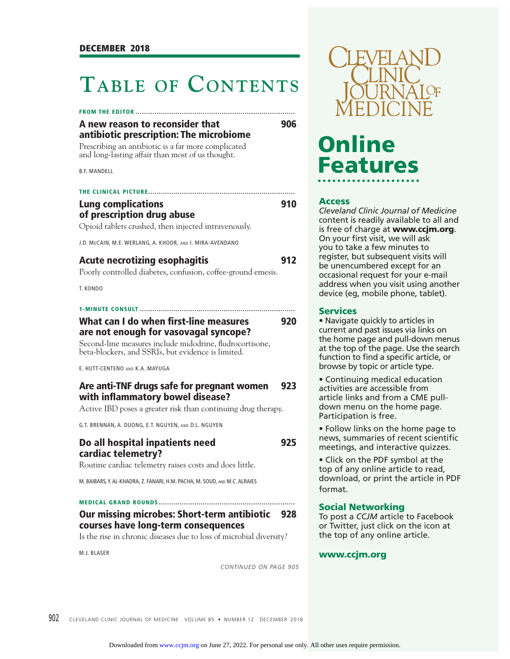### **TABLE OF CONTENTS**

#### **FROM THE EDITOR ............................................................................**

| A new reason to reconsider that         |  |  |  |
|-----------------------------------------|--|--|--|
| antibiotic prescription: The microbiome |  |  |  |

Prescribing an antibiotic is a far more complicated and long-lasting affair than most of us thought.

B.F. MANDELL

| THE CLINICAL PICTURE                                      |     |
|-----------------------------------------------------------|-----|
| <b>Lung complications</b>                                 | 910 |
| of prescription drug abuse                                |     |
| Opioid tablets crushed, then injected intravenously.      |     |
| J.D. McCAIN, M.E. WERLANG, A. KHOOR, AND I. MIRA-AVENDANO |     |

| <b>Acute necrotizing esophagitis</b>                         | 912 |  |
|--------------------------------------------------------------|-----|--|
| Poorly controlled diabetes, confusion, coffee-ground emesis, |     |  |

T. KONDO

|--|--|--|--|--|--|--|

#### **What can I do when first-line measures 920 are not enough for vasovagal syncope?**

Second-line measures include midodrine, fludrocortisone, beta-blockers, and SSRIs, but evidence is limited.

E. HUTT-CENTENO AND K.A. MAYUGA

#### **Are anti-TNF drugs safe for pregnant women 923 with inflammatory bowel disease?**

Active IBD poses a greater risk than continuing drug therapy.

G.T. BRENNAN, A. DUONG, E.T. NGUYEN, AND D.L. NGUYEN

#### **Do all hospital inpatients need 925 cardiac telemetry?**

Routine cardiac telemetry raises costs and does little.

M. BAIBARS, Y. AL-KHADRA, Z. FANARI, H.M. PACHA, M. SOUD, AND M.C. ALRAIES

**MEDICAL GRAND ROUNDS .................................................................**

#### **Our missing microbes: Short-term antibiotic 928 courses have long-term consequences**

Is the rise in chronic diseases due to loss of microbial diversity?

M.J. BLASER

*CONTINUED ON PAGE 905*



# **Online Features**

#### **Access**

*Cleveland Clinic Journal of Medicine*  content is readily available to all and is free of charge at **www.ccjm.org**. On your first visit, we will ask you to take a few minutes to register, but subsequent visits will be unencumbered except for an occasional request for your e-mail address when you visit using another device (eg, mobile phone, tablet).

#### **Services**

• Navigate quickly to articles in current and past issues via links on the home page and pull-down menus at the top of the page. Use the search function to find a specific article, or browse by topic or article type.

• Continuing medical education activities are accessible from article links and from a CME pulldown menu on the home page. Participation is free.

• Follow links on the home page to news, summaries of recent scientific meetings, and interactive quizzes.

• Click on the PDF symbol at the top of any online article to read, download, or print the article in PDF format.

#### **Social Networking**

To post a *CCJM* article to Facebook or Twitter, just click on the icon at the top of any online article.

#### **www.ccjm.org**

902 CLEVELAND CLINIC JOURNAL OF MEDICINE VOLUME 85 · NUMBER 12 DECEMBER 2018